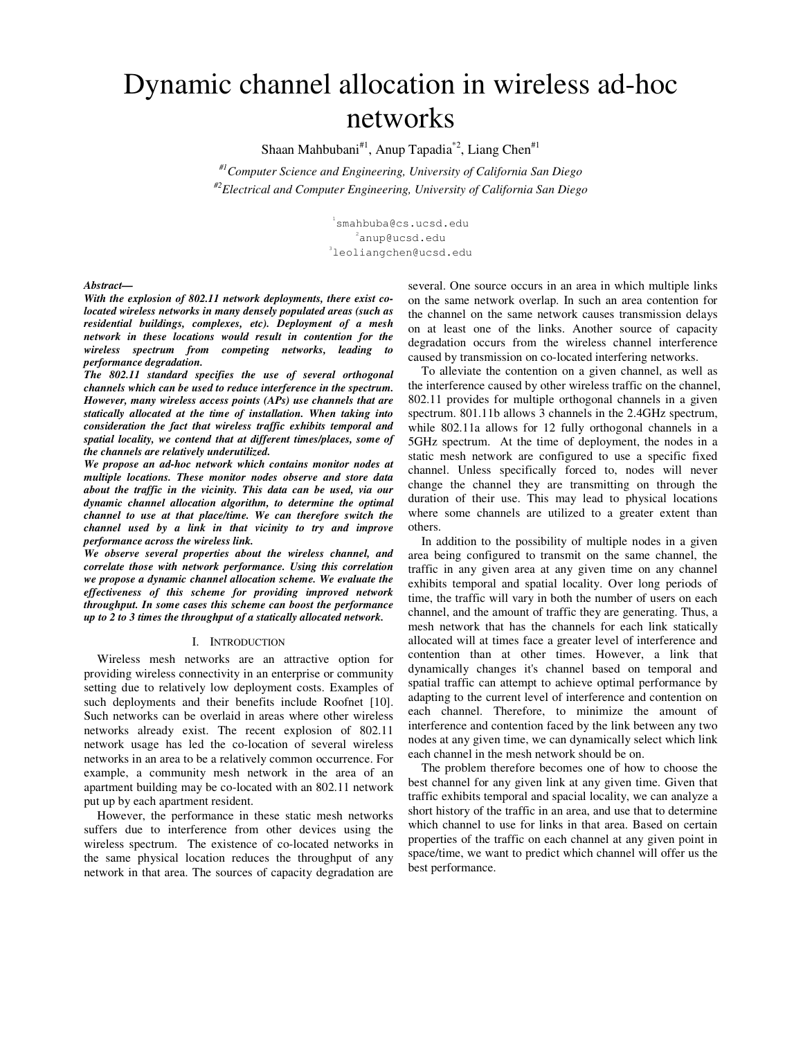# Dynamic channel allocation in wireless ad-hoc networks

Shaan Mahbubani<sup>#1</sup>, Anup Tapadia<sup>\*2</sup>, Liang Chen<sup>#1</sup>

*#1Computer Science and Engineering, University of California San Diego #2Electrical and Computer Engineering, University of California San Diego* 

> 1 smahbuba@cs.ucsd.edu  $^{2}$ anup@ucsd.edu 3 leoliangchen@ucsd.edu

*Abstract—* 

*With the explosion of 802.11 network deployments, there exist colocated wireless networks in many densely populated areas (such as residential buildings, complexes, etc). Deployment of a mesh network in these locations would result in contention for the wireless spectrum from competing networks, leading to performance degradation.* 

*The 802.11 standard specifies the use of several orthogonal channels which can be used to reduce interference in the spectrum. However, many wireless access points (APs) use channels that are statically allocated at the time of installation. When taking into consideration the fact that wireless traffic exhibits temporal and spatial locality, we contend that at different times/places, some of the channels are relatively underutilized.* 

*We propose an ad-hoc network which contains monitor nodes at multiple locations. These monitor nodes observe and store data about the traffic in the vicinity. This data can be used, via our dynamic channel allocation algorithm, to determine the optimal channel to use at that place/time. We can therefore switch the channel used by a link in that vicinity to try and improve performance across the wireless link.* 

*We observe several properties about the wireless channel, and correlate those with network performance. Using this correlation we propose a dynamic channel allocation scheme. We evaluate the effectiveness of this scheme for providing improved network throughput. In some cases this scheme can boost the performance up to 2 to 3 times the throughput of a statically allocated network.* 

#### I. INTRODUCTION

Wireless mesh networks are an attractive option for providing wireless connectivity in an enterprise or community setting due to relatively low deployment costs. Examples of such deployments and their benefits include Roofnet [10]. Such networks can be overlaid in areas where other wireless networks already exist. The recent explosion of 802.11 network usage has led the co-location of several wireless networks in an area to be a relatively common occurrence. For example, a community mesh network in the area of an apartment building may be co-located with an 802.11 network put up by each apartment resident.

However, the performance in these static mesh networks suffers due to interference from other devices using the wireless spectrum. The existence of co-located networks in the same physical location reduces the throughput of any network in that area. The sources of capacity degradation are

several. One source occurs in an area in which multiple links on the same network overlap. In such an area contention for the channel on the same network causes transmission delays on at least one of the links. Another source of capacity degradation occurs from the wireless channel interference caused by transmission on co-located interfering networks.

To alleviate the contention on a given channel, as well as the interference caused by other wireless traffic on the channel, 802.11 provides for multiple orthogonal channels in a given spectrum. 801.11b allows 3 channels in the 2.4GHz spectrum, while 802.11a allows for 12 fully orthogonal channels in a 5GHz spectrum. At the time of deployment, the nodes in a static mesh network are configured to use a specific fixed channel. Unless specifically forced to, nodes will never change the channel they are transmitting on through the duration of their use. This may lead to physical locations where some channels are utilized to a greater extent than others.

In addition to the possibility of multiple nodes in a given area being configured to transmit on the same channel, the traffic in any given area at any given time on any channel exhibits temporal and spatial locality. Over long periods of time, the traffic will vary in both the number of users on each channel, and the amount of traffic they are generating. Thus, a mesh network that has the channels for each link statically allocated will at times face a greater level of interference and contention than at other times. However, a link that dynamically changes it's channel based on temporal and spatial traffic can attempt to achieve optimal performance by adapting to the current level of interference and contention on each channel. Therefore, to minimize the amount of interference and contention faced by the link between any two nodes at any given time, we can dynamically select which link each channel in the mesh network should be on.

The problem therefore becomes one of how to choose the best channel for any given link at any given time. Given that traffic exhibits temporal and spacial locality, we can analyze a short history of the traffic in an area, and use that to determine which channel to use for links in that area. Based on certain properties of the traffic on each channel at any given point in space/time, we want to predict which channel will offer us the best performance.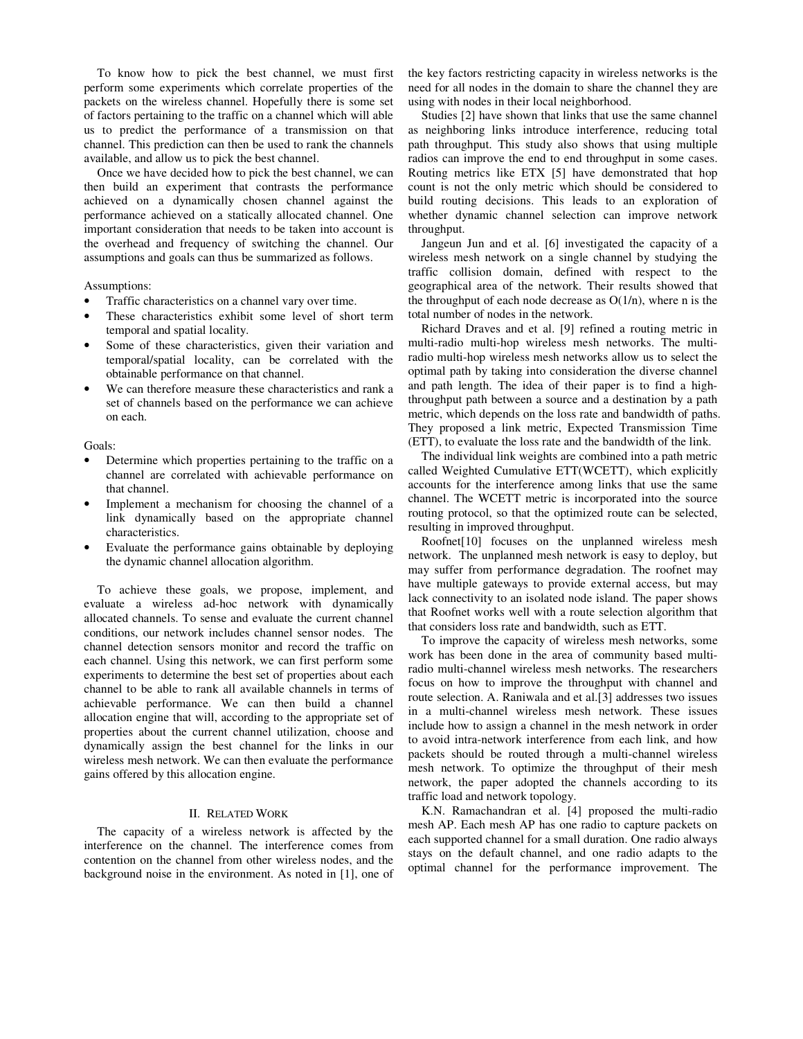To know how to pick the best channel, we must first perform some experiments which correlate properties of the packets on the wireless channel. Hopefully there is some set of factors pertaining to the traffic on a channel which will able us to predict the performance of a transmission on that channel. This prediction can then be used to rank the channels available, and allow us to pick the best channel.

Once we have decided how to pick the best channel, we can then build an experiment that contrasts the performance achieved on a dynamically chosen channel against the performance achieved on a statically allocated channel. One important consideration that needs to be taken into account is the overhead and frequency of switching the channel. Our assumptions and goals can thus be summarized as follows.

#### Assumptions:

- Traffic characteristics on a channel vary over time.
- These characteristics exhibit some level of short term temporal and spatial locality.
- Some of these characteristics, given their variation and temporal/spatial locality, can be correlated with the obtainable performance on that channel.
- We can therefore measure these characteristics and rank a set of channels based on the performance we can achieve on each.

#### Goals:

- Determine which properties pertaining to the traffic on a channel are correlated with achievable performance on that channel.
- Implement a mechanism for choosing the channel of a link dynamically based on the appropriate channel characteristics.
- Evaluate the performance gains obtainable by deploying the dynamic channel allocation algorithm.

To achieve these goals, we propose, implement, and evaluate a wireless ad-hoc network with dynamically allocated channels. To sense and evaluate the current channel conditions, our network includes channel sensor nodes. The channel detection sensors monitor and record the traffic on each channel. Using this network, we can first perform some experiments to determine the best set of properties about each channel to be able to rank all available channels in terms of achievable performance. We can then build a channel allocation engine that will, according to the appropriate set of properties about the current channel utilization, choose and dynamically assign the best channel for the links in our wireless mesh network. We can then evaluate the performance gains offered by this allocation engine.

## II. RELATED WORK

The capacity of a wireless network is affected by the interference on the channel. The interference comes from contention on the channel from other wireless nodes, and the background noise in the environment. As noted in [1], one of

the key factors restricting capacity in wireless networks is the need for all nodes in the domain to share the channel they are using with nodes in their local neighborhood.

Studies [2] have shown that links that use the same channel as neighboring links introduce interference, reducing total path throughput. This study also shows that using multiple radios can improve the end to end throughput in some cases. Routing metrics like ETX [5] have demonstrated that hop count is not the only metric which should be considered to build routing decisions. This leads to an exploration of whether dynamic channel selection can improve network throughput.

Jangeun Jun and et al. [6] investigated the capacity of a wireless mesh network on a single channel by studying the traffic collision domain, defined with respect to the geographical area of the network. Their results showed that the throughput of each node decrease as  $O(1/n)$ , where n is the total number of nodes in the network.

Richard Draves and et al. [9] refined a routing metric in multi-radio multi-hop wireless mesh networks. The multiradio multi-hop wireless mesh networks allow us to select the optimal path by taking into consideration the diverse channel and path length. The idea of their paper is to find a highthroughput path between a source and a destination by a path metric, which depends on the loss rate and bandwidth of paths. They proposed a link metric, Expected Transmission Time (ETT), to evaluate the loss rate and the bandwidth of the link.

The individual link weights are combined into a path metric called Weighted Cumulative ETT(WCETT), which explicitly accounts for the interference among links that use the same channel. The WCETT metric is incorporated into the source routing protocol, so that the optimized route can be selected, resulting in improved throughput.

Roofnet[10] focuses on the unplanned wireless mesh network. The unplanned mesh network is easy to deploy, but may suffer from performance degradation. The roofnet may have multiple gateways to provide external access, but may lack connectivity to an isolated node island. The paper shows that Roofnet works well with a route selection algorithm that that considers loss rate and bandwidth, such as ETT.

To improve the capacity of wireless mesh networks, some work has been done in the area of community based multiradio multi-channel wireless mesh networks. The researchers focus on how to improve the throughput with channel and route selection. A. Raniwala and et al.[3] addresses two issues in a multi-channel wireless mesh network. These issues include how to assign a channel in the mesh network in order to avoid intra-network interference from each link, and how packets should be routed through a multi-channel wireless mesh network. To optimize the throughput of their mesh network, the paper adopted the channels according to its traffic load and network topology.

K.N. Ramachandran et al. [4] proposed the multi-radio mesh AP. Each mesh AP has one radio to capture packets on each supported channel for a small duration. One radio always stays on the default channel, and one radio adapts to the optimal channel for the performance improvement. The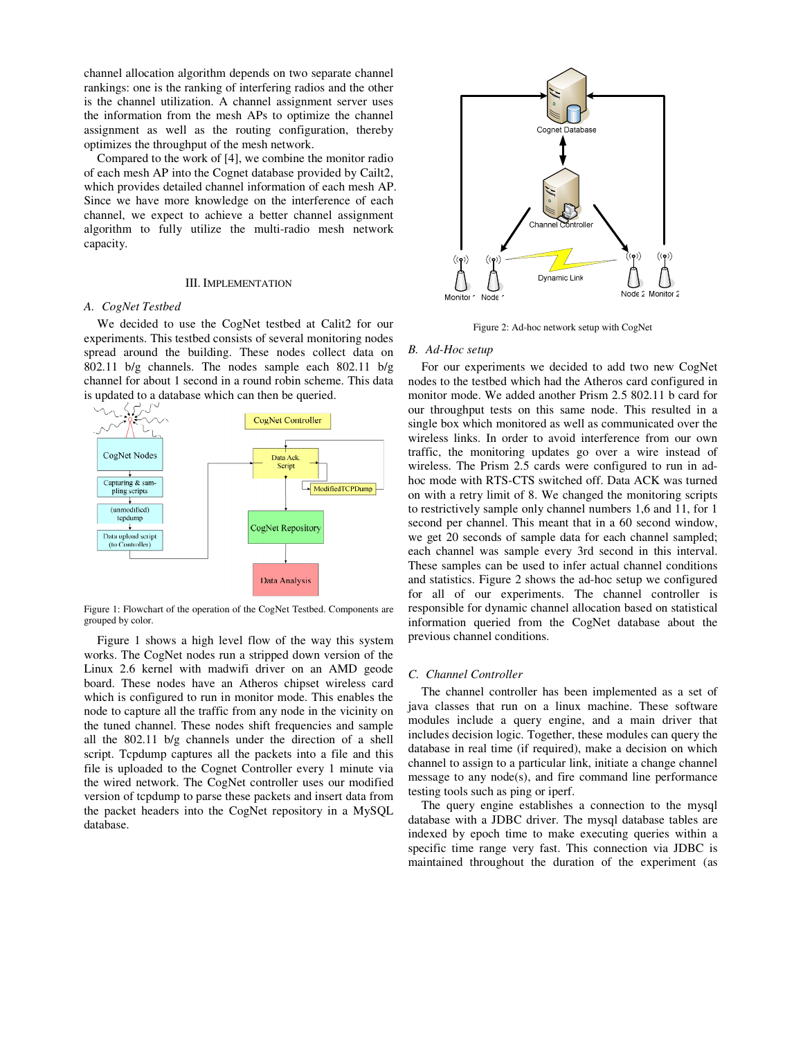channel allocation algorithm depends on two separate channel rankings: one is the ranking of interfering radios and the other is the channel utilization. A channel assignment server uses the information from the mesh APs to optimize the channel assignment as well as the routing configuration, thereby optimizes the throughput of the mesh network.

Compared to the work of [4], we combine the monitor radio of each mesh AP into the Cognet database provided by Cailt2, which provides detailed channel information of each mesh AP. Since we have more knowledge on the interference of each channel, we expect to achieve a better channel assignment algorithm to fully utilize the multi-radio mesh network capacity.

#### III. IMPLEMENTATION

# *A. CogNet Testbed*

We decided to use the CogNet testbed at Calit2 for our experiments. This testbed consists of several monitoring nodes spread around the building. These nodes collect data on 802.11 b/g channels. The nodes sample each 802.11 b/g channel for about 1 second in a round robin scheme. This data is updated to a database which can then be queried.



Figure 1: Flowchart of the operation of the CogNet Testbed. Components are grouped by color.

Figure 1 shows a high level flow of the way this system works. The CogNet nodes run a stripped down version of the Linux 2.6 kernel with madwifi driver on an AMD geode board. These nodes have an Atheros chipset wireless card which is configured to run in monitor mode. This enables the node to capture all the traffic from any node in the vicinity on the tuned channel. These nodes shift frequencies and sample all the 802.11 b/g channels under the direction of a shell script. Tcpdump captures all the packets into a file and this file is uploaded to the Cognet Controller every 1 minute via the wired network. The CogNet controller uses our modified version of tcpdump to parse these packets and insert data from the packet headers into the CogNet repository in a MySQL database.



Figure 2: Ad-hoc network setup with CogNet

#### *B. Ad-Hoc setup*

For our experiments we decided to add two new CogNet nodes to the testbed which had the Atheros card configured in monitor mode. We added another Prism 2.5 802.11 b card for our throughput tests on this same node. This resulted in a single box which monitored as well as communicated over the wireless links. In order to avoid interference from our own traffic, the monitoring updates go over a wire instead of wireless. The Prism 2.5 cards were configured to run in adhoc mode with RTS-CTS switched off. Data ACK was turned on with a retry limit of 8. We changed the monitoring scripts to restrictively sample only channel numbers 1,6 and 11, for 1 second per channel. This meant that in a 60 second window, we get 20 seconds of sample data for each channel sampled; each channel was sample every 3rd second in this interval. These samples can be used to infer actual channel conditions and statistics. Figure 2 shows the ad-hoc setup we configured for all of our experiments. The channel controller is responsible for dynamic channel allocation based on statistical information queried from the CogNet database about the previous channel conditions.

#### *C. Channel Controller*

The channel controller has been implemented as a set of java classes that run on a linux machine. These software modules include a query engine, and a main driver that includes decision logic. Together, these modules can query the database in real time (if required), make a decision on which channel to assign to a particular link, initiate a change channel message to any node(s), and fire command line performance testing tools such as ping or iperf.

The query engine establishes a connection to the mysql database with a JDBC driver. The mysql database tables are indexed by epoch time to make executing queries within a specific time range very fast. This connection via JDBC is maintained throughout the duration of the experiment (as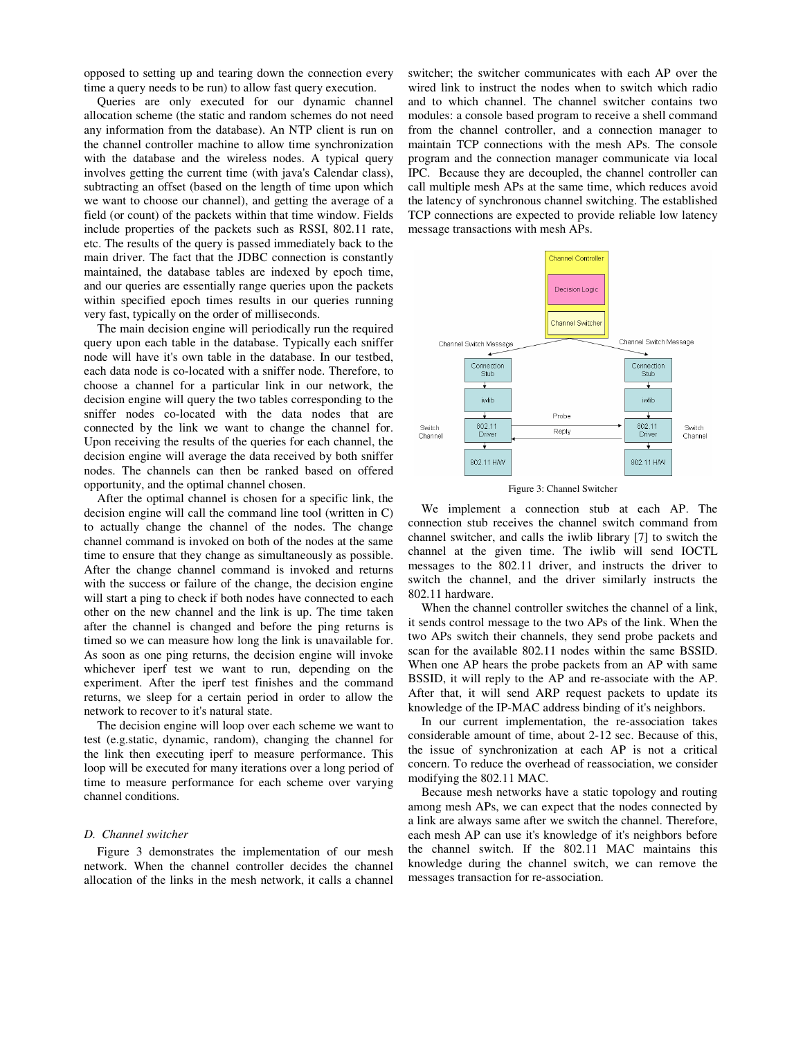opposed to setting up and tearing down the connection every time a query needs to be run) to allow fast query execution.

Queries are only executed for our dynamic channel allocation scheme (the static and random schemes do not need any information from the database). An NTP client is run on the channel controller machine to allow time synchronization with the database and the wireless nodes. A typical query involves getting the current time (with java's Calendar class), subtracting an offset (based on the length of time upon which we want to choose our channel), and getting the average of a field (or count) of the packets within that time window. Fields include properties of the packets such as RSSI, 802.11 rate, etc. The results of the query is passed immediately back to the main driver. The fact that the JDBC connection is constantly maintained, the database tables are indexed by epoch time, and our queries are essentially range queries upon the packets within specified epoch times results in our queries running very fast, typically on the order of milliseconds.

The main decision engine will periodically run the required query upon each table in the database. Typically each sniffer node will have it's own table in the database. In our testbed, each data node is co-located with a sniffer node. Therefore, to choose a channel for a particular link in our network, the decision engine will query the two tables corresponding to the sniffer nodes co-located with the data nodes that are connected by the link we want to change the channel for. Upon receiving the results of the queries for each channel, the decision engine will average the data received by both sniffer nodes. The channels can then be ranked based on offered opportunity, and the optimal channel chosen.

After the optimal channel is chosen for a specific link, the decision engine will call the command line tool (written in C) to actually change the channel of the nodes. The change channel command is invoked on both of the nodes at the same time to ensure that they change as simultaneously as possible. After the change channel command is invoked and returns with the success or failure of the change, the decision engine will start a ping to check if both nodes have connected to each other on the new channel and the link is up. The time taken after the channel is changed and before the ping returns is timed so we can measure how long the link is unavailable for. As soon as one ping returns, the decision engine will invoke whichever iperf test we want to run, depending on the experiment. After the iperf test finishes and the command returns, we sleep for a certain period in order to allow the network to recover to it's natural state.

The decision engine will loop over each scheme we want to test (e.g.static, dynamic, random), changing the channel for the link then executing iperf to measure performance. This loop will be executed for many iterations over a long period of time to measure performance for each scheme over varying channel conditions.

#### *D. Channel switcher*

Figure 3 demonstrates the implementation of our mesh network. When the channel controller decides the channel allocation of the links in the mesh network, it calls a channel switcher; the switcher communicates with each AP over the wired link to instruct the nodes when to switch which radio and to which channel. The channel switcher contains two modules: a console based program to receive a shell command from the channel controller, and a connection manager to maintain TCP connections with the mesh APs. The console program and the connection manager communicate via local IPC. Because they are decoupled, the channel controller can call multiple mesh APs at the same time, which reduces avoid the latency of synchronous channel switching. The established TCP connections are expected to provide reliable low latency message transactions with mesh APs.



Figure 3: Channel Switcher

We implement a connection stub at each AP. The connection stub receives the channel switch command from channel switcher, and calls the iwlib library [7] to switch the channel at the given time. The iwlib will send IOCTL messages to the 802.11 driver, and instructs the driver to switch the channel, and the driver similarly instructs the 802.11 hardware.

When the channel controller switches the channel of a link, it sends control message to the two APs of the link. When the two APs switch their channels, they send probe packets and scan for the available 802.11 nodes within the same BSSID. When one AP hears the probe packets from an AP with same BSSID, it will reply to the AP and re-associate with the AP. After that, it will send ARP request packets to update its knowledge of the IP-MAC address binding of it's neighbors.

In our current implementation, the re-association takes considerable amount of time, about 2-12 sec. Because of this, the issue of synchronization at each AP is not a critical concern. To reduce the overhead of reassociation, we consider modifying the 802.11 MAC.

Because mesh networks have a static topology and routing among mesh APs, we can expect that the nodes connected by a link are always same after we switch the channel. Therefore, each mesh AP can use it's knowledge of it's neighbors before the channel switch. If the 802.11 MAC maintains this knowledge during the channel switch, we can remove the messages transaction for re-association.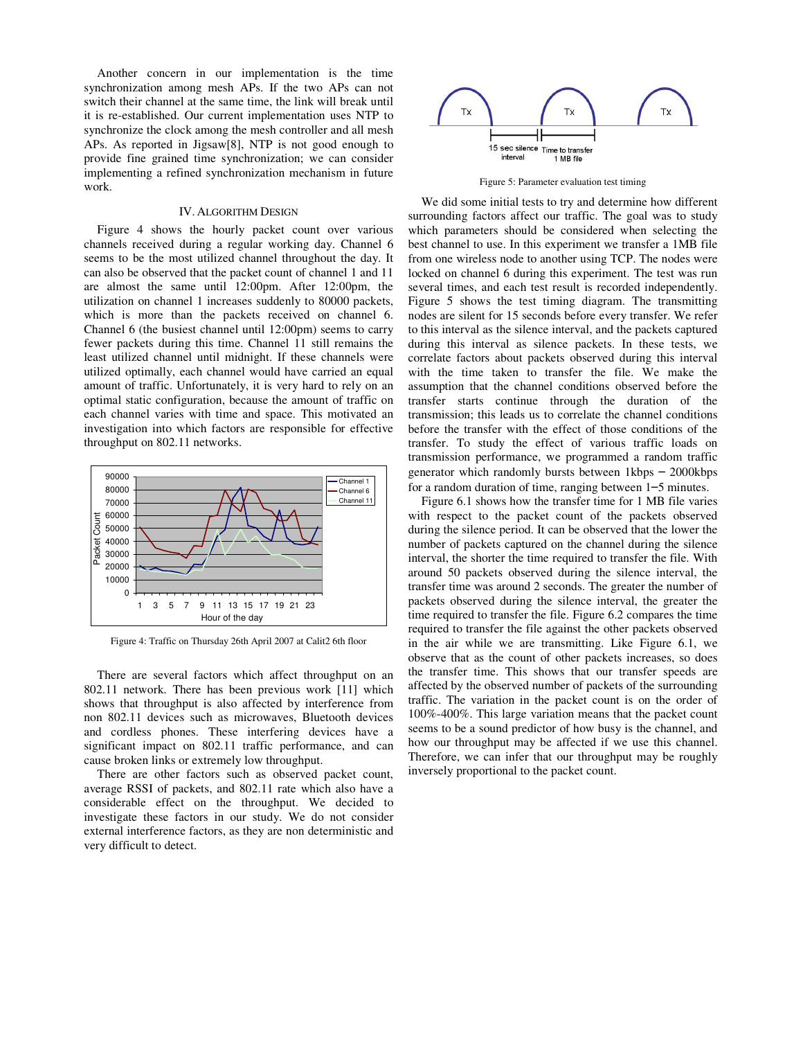Another concern in our implementation is the time synchronization among mesh APs. If the two APs can not switch their channel at the same time, the link will break until it is re-established. Our current implementation uses NTP to synchronize the clock among the mesh controller and all mesh APs. As reported in Jigsaw[8], NTP is not good enough to provide fine grained time synchronization; we can consider implementing a refined synchronization mechanism in future work.

## IV. ALGORITHM DESIGN

Figure 4 shows the hourly packet count over various channels received during a regular working day. Channel 6 seems to be the most utilized channel throughout the day. It can also be observed that the packet count of channel 1 and 11 are almost the same until 12:00pm. After 12:00pm, the utilization on channel 1 increases suddenly to 80000 packets, which is more than the packets received on channel 6. Channel 6 (the busiest channel until 12:00pm) seems to carry fewer packets during this time. Channel 11 still remains the least utilized channel until midnight. If these channels were utilized optimally, each channel would have carried an equal amount of traffic. Unfortunately, it is very hard to rely on an optimal static configuration, because the amount of traffic on each channel varies with time and space. This motivated an investigation into which factors are responsible for effective throughput on 802.11 networks.



Figure 4: Traffic on Thursday 26th April 2007 at Calit2 6th floor

There are several factors which affect throughput on an 802.11 network. There has been previous work [11] which shows that throughput is also affected by interference from non 802.11 devices such as microwaves, Bluetooth devices and cordless phones. These interfering devices have a significant impact on 802.11 traffic performance, and can cause broken links or extremely low throughput.

There are other factors such as observed packet count, average RSSI of packets, and 802.11 rate which also have a considerable effect on the throughput. We decided to investigate these factors in our study. We do not consider external interference factors, as they are non deterministic and very difficult to detect.



Figure 5: Parameter evaluation test timing

We did some initial tests to try and determine how different surrounding factors affect our traffic. The goal was to study which parameters should be considered when selecting the best channel to use. In this experiment we transfer a 1MB file from one wireless node to another using TCP. The nodes were locked on channel 6 during this experiment. The test was run several times, and each test result is recorded independently. Figure 5 shows the test timing diagram. The transmitting nodes are silent for 15 seconds before every transfer. We refer to this interval as the silence interval, and the packets captured during this interval as silence packets. In these tests, we correlate factors about packets observed during this interval with the time taken to transfer the file. We make the assumption that the channel conditions observed before the transfer starts continue through the duration of the transmission; this leads us to correlate the channel conditions before the transfer with the effect of those conditions of the transfer. To study the effect of various traffic loads on transmission performance, we programmed a random traffic generator which randomly bursts between 1kbps – 2000kbps for a random duration of time, ranging between 1–5 minutes.

Figure 6.1 shows how the transfer time for 1 MB file varies with respect to the packet count of the packets observed during the silence period. It can be observed that the lower the number of packets captured on the channel during the silence interval, the shorter the time required to transfer the file. With around 50 packets observed during the silence interval, the transfer time was around 2 seconds. The greater the number of packets observed during the silence interval, the greater the time required to transfer the file. Figure 6.2 compares the time required to transfer the file against the other packets observed in the air while we are transmitting. Like Figure 6.1, we observe that as the count of other packets increases, so does the transfer time. This shows that our transfer speeds are affected by the observed number of packets of the surrounding traffic. The variation in the packet count is on the order of 100%-400%. This large variation means that the packet count seems to be a sound predictor of how busy is the channel, and how our throughput may be affected if we use this channel. Therefore, we can infer that our throughput may be roughly inversely proportional to the packet count.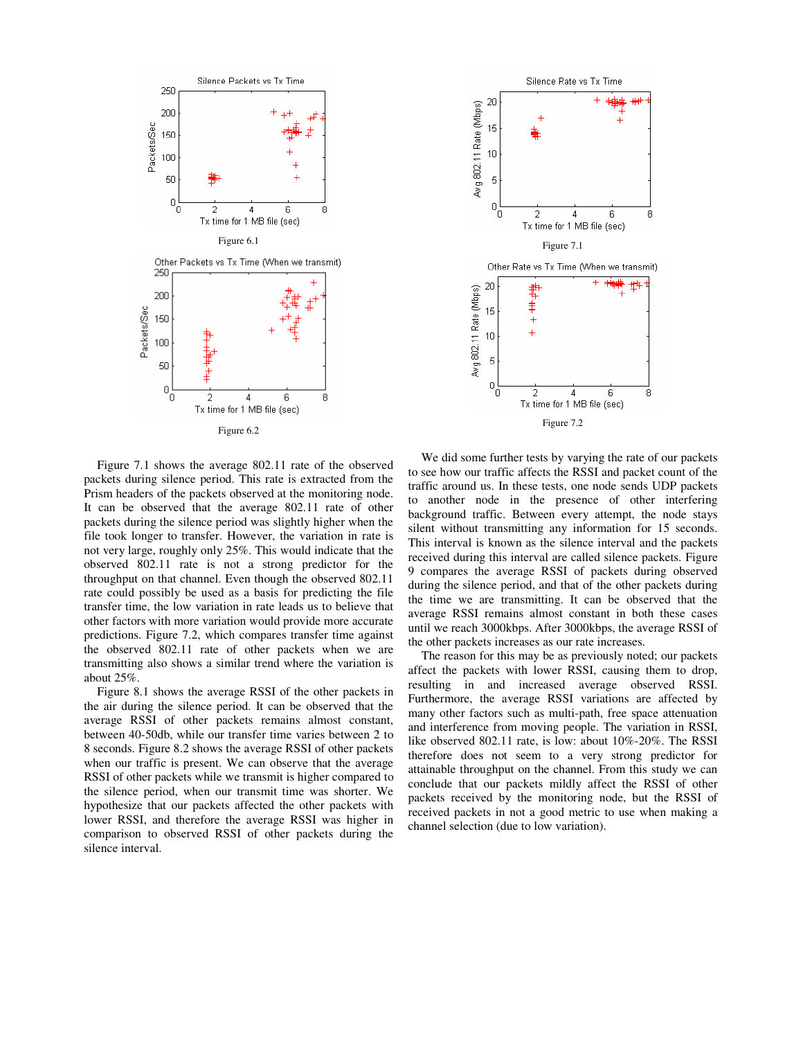

Figure 7.1 shows the average 802.11 rate of the observed packets during silence period. This rate is extracted from the Prism headers of the packets observed at the monitoring node. It can be observed that the average 802.11 rate of other packets during the silence period was slightly higher when the file took longer to transfer. However, the variation in rate is not very large, roughly only 25%. This would indicate that the observed 802.11 rate is not a strong predictor for the throughput on that channel. Even though the observed 802.11 rate could possibly be used as a basis for predicting the file transfer time, the low variation in rate leads us to believe that other factors with more variation would provide more accurate predictions. Figure 7.2, which compares transfer time against the observed 802.11 rate of other packets when we are transmitting also shows a similar trend where the variation is about 25%.

Figure 8.1 shows the average RSSI of the other packets in the air during the silence period. It can be observed that the average RSSI of other packets remains almost constant, between 40-50db, while our transfer time varies between 2 to 8 seconds. Figure 8.2 shows the average RSSI of other packets when our traffic is present. We can observe that the average RSSI of other packets while we transmit is higher compared to the silence period, when our transmit time was shorter. We hypothesize that our packets affected the other packets with lower RSSI, and therefore the average RSSI was higher in comparison to observed RSSI of other packets during the silence interval.



We did some further tests by varying the rate of our packets to see how our traffic affects the RSSI and packet count of the traffic around us. In these tests, one node sends UDP packets to another node in the presence of other interfering background traffic. Between every attempt, the node stays silent without transmitting any information for 15 seconds. This interval is known as the silence interval and the packets received during this interval are called silence packets. Figure 9 compares the average RSSI of packets during observed during the silence period, and that of the other packets during the time we are transmitting. It can be observed that the average RSSI remains almost constant in both these cases until we reach 3000kbps. After 3000kbps, the average RSSI of the other packets increases as our rate increases.

The reason for this may be as previously noted; our packets affect the packets with lower RSSI, causing them to drop, resulting in and increased average observed RSSI. Furthermore, the average RSSI variations are affected by many other factors such as multi-path, free space attenuation and interference from moving people. The variation in RSSI, like observed 802.11 rate, is low: about 10%-20%. The RSSI therefore does not seem to a very strong predictor for attainable throughput on the channel. From this study we can conclude that our packets mildly affect the RSSI of other packets received by the monitoring node, but the RSSI of received packets in not a good metric to use when making a channel selection (due to low variation).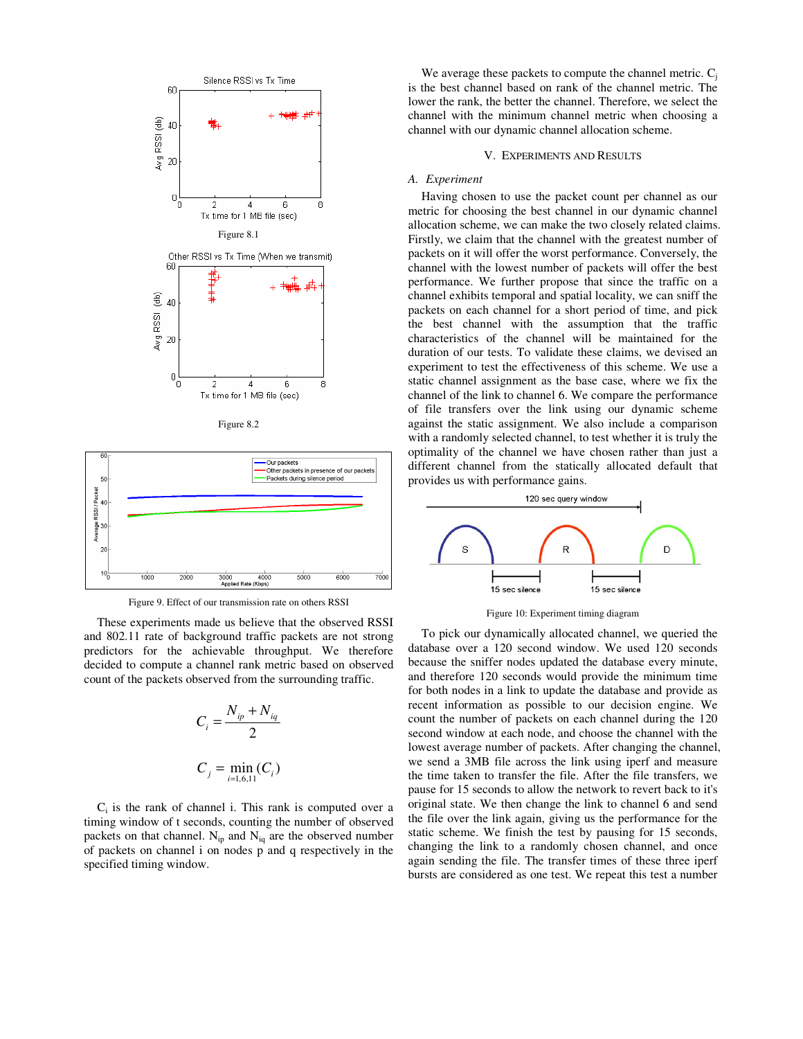

Figure 8.2



Figure 9. Effect of our transmission rate on others RSSI

These experiments made us believe that the observed RSSI and 802.11 rate of background traffic packets are not strong predictors for the achievable throughput. We therefore decided to compute a channel rank metric based on observed count of the packets observed from the surrounding traffic.

$$
C_i = \frac{N_{ip} + N_{iq}}{2}
$$

$$
C_j = \min_{i=1,6,11}(C_i)
$$

 $C_i$  is the rank of channel i. This rank is computed over a timing window of t seconds, counting the number of observed packets on that channel.  $N_{ip}$  and  $N_{iq}$  are the observed number of packets on channel i on nodes p and q respectively in the specified timing window.

We average these packets to compute the channel metric.  $C_i$ is the best channel based on rank of the channel metric. The lower the rank, the better the channel. Therefore, we select the channel with the minimum channel metric when choosing a channel with our dynamic channel allocation scheme.

#### V. EXPERIMENTS AND RESULTS

#### *A. Experiment*

Having chosen to use the packet count per channel as our metric for choosing the best channel in our dynamic channel allocation scheme, we can make the two closely related claims. Firstly, we claim that the channel with the greatest number of packets on it will offer the worst performance. Conversely, the channel with the lowest number of packets will offer the best performance. We further propose that since the traffic on a channel exhibits temporal and spatial locality, we can sniff the packets on each channel for a short period of time, and pick the best channel with the assumption that the traffic characteristics of the channel will be maintained for the duration of our tests. To validate these claims, we devised an experiment to test the effectiveness of this scheme. We use a static channel assignment as the base case, where we fix the channel of the link to channel 6. We compare the performance of file transfers over the link using our dynamic scheme against the static assignment. We also include a comparison with a randomly selected channel, to test whether it is truly the optimality of the channel we have chosen rather than just a different channel from the statically allocated default that provides us with performance gains.



Figure 10: Experiment timing diagram

To pick our dynamically allocated channel, we queried the database over a 120 second window. We used 120 seconds because the sniffer nodes updated the database every minute, and therefore 120 seconds would provide the minimum time for both nodes in a link to update the database and provide as recent information as possible to our decision engine. We count the number of packets on each channel during the 120 second window at each node, and choose the channel with the lowest average number of packets. After changing the channel, we send a 3MB file across the link using iperf and measure the time taken to transfer the file. After the file transfers, we pause for 15 seconds to allow the network to revert back to it's original state. We then change the link to channel 6 and send the file over the link again, giving us the performance for the static scheme. We finish the test by pausing for 15 seconds, changing the link to a randomly chosen channel, and once again sending the file. The transfer times of these three iperf bursts are considered as one test. We repeat this test a number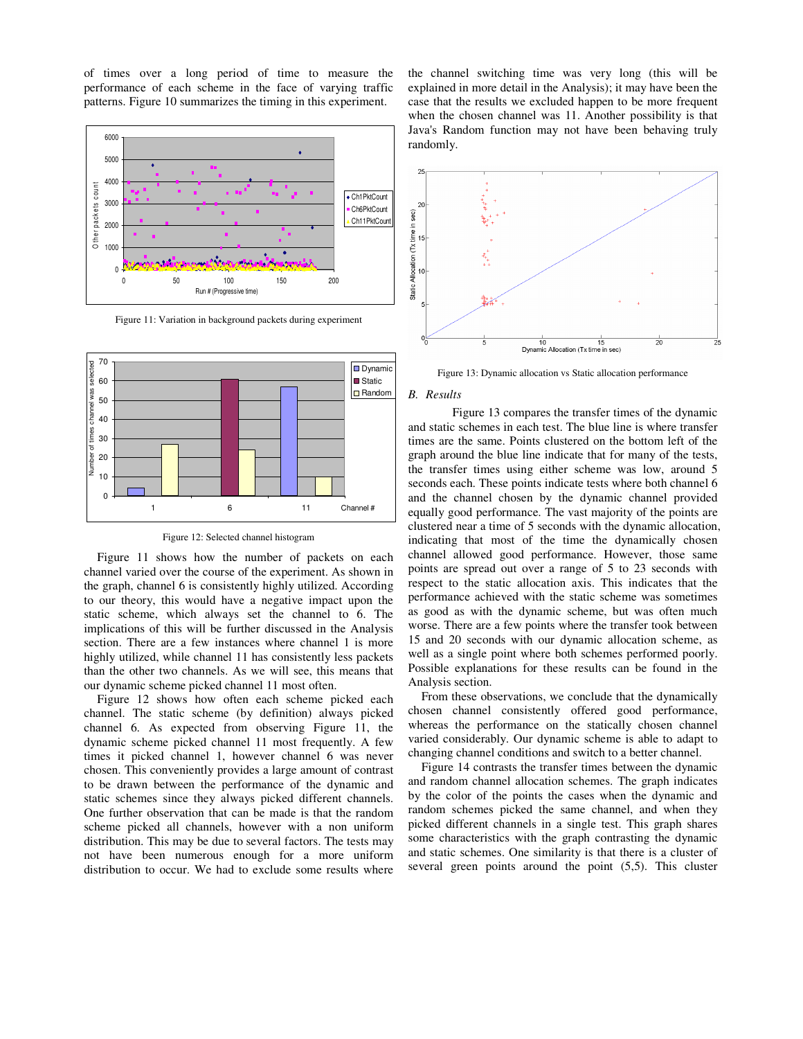of times over a long period of time to measure the performance of each scheme in the face of varying traffic patterns. Figure 10 summarizes the timing in this experiment.



Figure 11: Variation in background packets during experiment



Figure 12: Selected channel histogram

Figure 11 shows how the number of packets on each channel varied over the course of the experiment. As shown in the graph, channel 6 is consistently highly utilized. According to our theory, this would have a negative impact upon the static scheme, which always set the channel to 6. The implications of this will be further discussed in the Analysis section. There are a few instances where channel 1 is more highly utilized, while channel 11 has consistently less packets than the other two channels. As we will see, this means that our dynamic scheme picked channel 11 most often.

Figure 12 shows how often each scheme picked each channel. The static scheme (by definition) always picked channel 6. As expected from observing Figure 11, the dynamic scheme picked channel 11 most frequently. A few times it picked channel 1, however channel 6 was never chosen. This conveniently provides a large amount of contrast to be drawn between the performance of the dynamic and static schemes since they always picked different channels. One further observation that can be made is that the random scheme picked all channels, however with a non uniform distribution. This may be due to several factors. The tests may not have been numerous enough for a more uniform distribution to occur. We had to exclude some results where

the channel switching time was very long (this will be explained in more detail in the Analysis); it may have been the case that the results we excluded happen to be more frequent when the chosen channel was 11. Another possibility is that Java's Random function may not have been behaving truly randomly.



Figure 13: Dynamic allocation vs Static allocation performance

#### *B. Results*

 Figure 13 compares the transfer times of the dynamic and static schemes in each test. The blue line is where transfer times are the same. Points clustered on the bottom left of the graph around the blue line indicate that for many of the tests, the transfer times using either scheme was low, around 5 seconds each. These points indicate tests where both channel 6 and the channel chosen by the dynamic channel provided equally good performance. The vast majority of the points are clustered near a time of 5 seconds with the dynamic allocation, indicating that most of the time the dynamically chosen channel allowed good performance. However, those same points are spread out over a range of 5 to 23 seconds with respect to the static allocation axis. This indicates that the performance achieved with the static scheme was sometimes as good as with the dynamic scheme, but was often much worse. There are a few points where the transfer took between 15 and 20 seconds with our dynamic allocation scheme, as well as a single point where both schemes performed poorly. Possible explanations for these results can be found in the Analysis section.

From these observations, we conclude that the dynamically chosen channel consistently offered good performance, whereas the performance on the statically chosen channel varied considerably. Our dynamic scheme is able to adapt to changing channel conditions and switch to a better channel.

Figure 14 contrasts the transfer times between the dynamic and random channel allocation schemes. The graph indicates by the color of the points the cases when the dynamic and random schemes picked the same channel, and when they picked different channels in a single test. This graph shares some characteristics with the graph contrasting the dynamic and static schemes. One similarity is that there is a cluster of several green points around the point (5,5). This cluster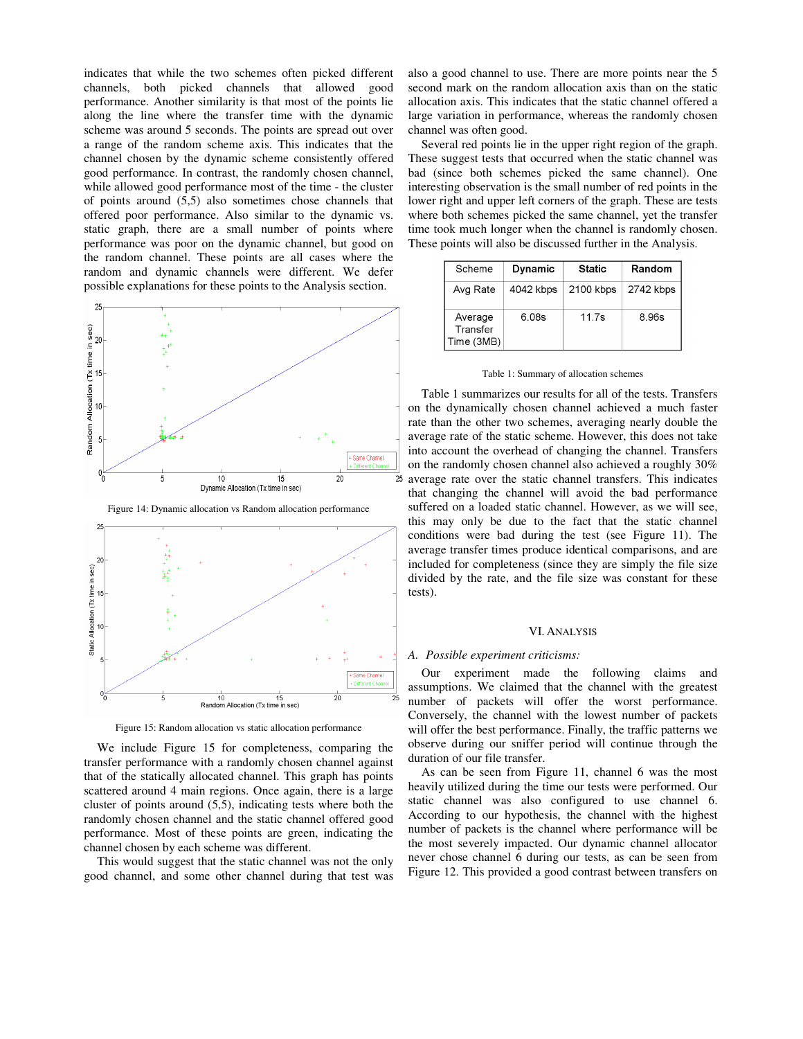indicates that while the two schemes often picked different channels, both picked channels that allowed good performance. Another similarity is that most of the points lie along the line where the transfer time with the dynamic scheme was around 5 seconds. The points are spread out over a range of the random scheme axis. This indicates that the channel chosen by the dynamic scheme consistently offered good performance. In contrast, the randomly chosen channel, while allowed good performance most of the time - the cluster of points around (5,5) also sometimes chose channels that offered poor performance. Also similar to the dynamic vs. static graph, there are a small number of points where performance was poor on the dynamic channel, but good on the random channel. These points are all cases where the random and dynamic channels were different. We defer possible explanations for these points to the Analysis section.



Figure 14: Dynamic allocation vs Random allocation performance



Figure 15: Random allocation vs static allocation performance

We include Figure 15 for completeness, comparing the transfer performance with a randomly chosen channel against that of the statically allocated channel. This graph has points scattered around 4 main regions. Once again, there is a large cluster of points around (5,5), indicating tests where both the randomly chosen channel and the static channel offered good performance. Most of these points are green, indicating the channel chosen by each scheme was different.

This would suggest that the static channel was not the only good channel, and some other channel during that test was

also a good channel to use. There are more points near the 5 second mark on the random allocation axis than on the static allocation axis. This indicates that the static channel offered a large variation in performance, whereas the randomly chosen channel was often good.

Several red points lie in the upper right region of the graph. These suggest tests that occurred when the static channel was bad (since both schemes picked the same channel). One interesting observation is the small number of red points in the lower right and upper left corners of the graph. These are tests where both schemes picked the same channel, yet the transfer time took much longer when the channel is randomly chosen. These points will also be discussed further in the Analysis.

| Scheme                            | Dynamic   | <b>Static</b> | Random    |
|-----------------------------------|-----------|---------------|-----------|
| Avg Rate                          | 4042 kbps | 2100 kbps     | 2742 kbps |
| Average<br>Transfer<br>Time (3MB) | 6.08s     | 11.7s         | 8.96s     |

|  |  |  |  | Table 1: Summary of allocation schemes |  |
|--|--|--|--|----------------------------------------|--|
|--|--|--|--|----------------------------------------|--|

Table 1 summarizes our results for all of the tests. Transfers on the dynamically chosen channel achieved a much faster rate than the other two schemes, averaging nearly double the average rate of the static scheme. However, this does not take into account the overhead of changing the channel. Transfers on the randomly chosen channel also achieved a roughly 30% average rate over the static channel transfers. This indicates that changing the channel will avoid the bad performance suffered on a loaded static channel. However, as we will see, this may only be due to the fact that the static channel conditions were bad during the test (see Figure 11). The average transfer times produce identical comparisons, and are included for completeness (since they are simply the file size divided by the rate, and the file size was constant for these tests).

#### VI. ANALYSIS

### *A. Possible experiment criticisms:*

Our experiment made the following claims and assumptions. We claimed that the channel with the greatest number of packets will offer the worst performance. Conversely, the channel with the lowest number of packets will offer the best performance. Finally, the traffic patterns we observe during our sniffer period will continue through the duration of our file transfer.

As can be seen from Figure 11, channel 6 was the most heavily utilized during the time our tests were performed. Our static channel was also configured to use channel 6. According to our hypothesis, the channel with the highest number of packets is the channel where performance will be the most severely impacted. Our dynamic channel allocator never chose channel 6 during our tests, as can be seen from Figure 12. This provided a good contrast between transfers on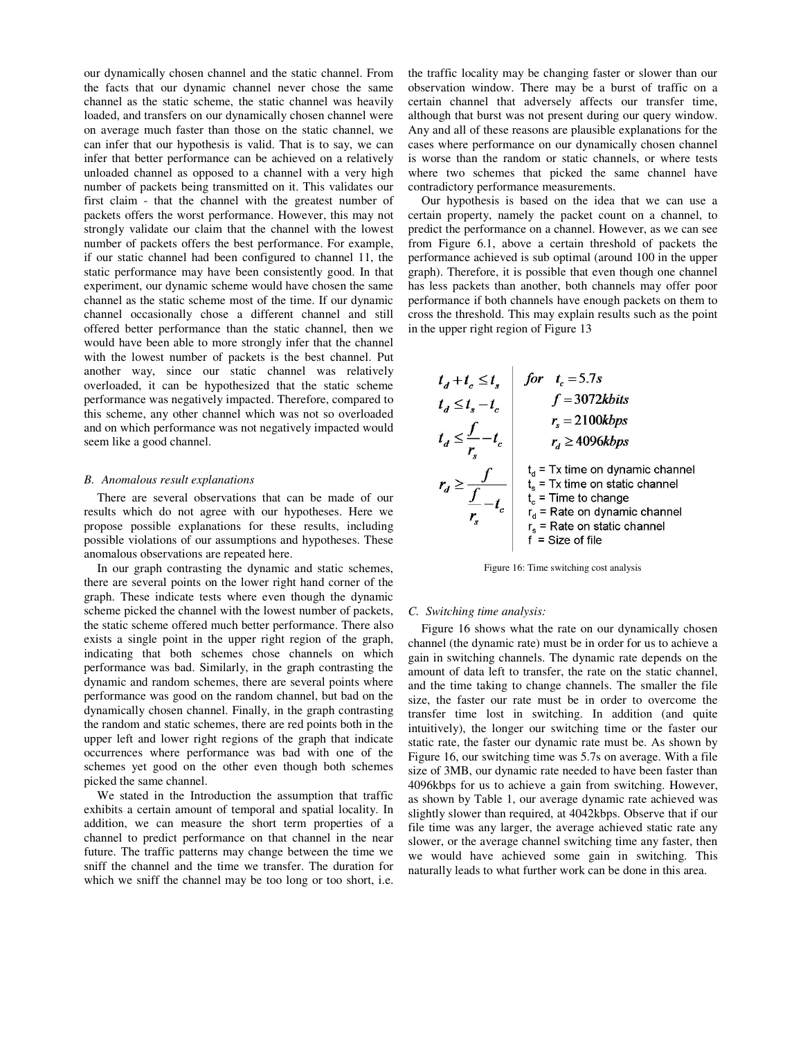our dynamically chosen channel and the static channel. From the facts that our dynamic channel never chose the same channel as the static scheme, the static channel was heavily loaded, and transfers on our dynamically chosen channel were on average much faster than those on the static channel, we can infer that our hypothesis is valid. That is to say, we can infer that better performance can be achieved on a relatively unloaded channel as opposed to a channel with a very high number of packets being transmitted on it. This validates our first claim - that the channel with the greatest number of packets offers the worst performance. However, this may not strongly validate our claim that the channel with the lowest number of packets offers the best performance. For example, if our static channel had been configured to channel 11, the static performance may have been consistently good. In that experiment, our dynamic scheme would have chosen the same channel as the static scheme most of the time. If our dynamic channel occasionally chose a different channel and still offered better performance than the static channel, then we would have been able to more strongly infer that the channel with the lowest number of packets is the best channel. Put another way, since our static channel was relatively overloaded, it can be hypothesized that the static scheme performance was negatively impacted. Therefore, compared to this scheme, any other channel which was not so overloaded and on which performance was not negatively impacted would seem like a good channel.

#### *B. Anomalous result explanations*

There are several observations that can be made of our results which do not agree with our hypotheses. Here we propose possible explanations for these results, including possible violations of our assumptions and hypotheses. These anomalous observations are repeated here.

In our graph contrasting the dynamic and static schemes, there are several points on the lower right hand corner of the graph. These indicate tests where even though the dynamic scheme picked the channel with the lowest number of packets, the static scheme offered much better performance. There also exists a single point in the upper right region of the graph, indicating that both schemes chose channels on which performance was bad. Similarly, in the graph contrasting the dynamic and random schemes, there are several points where performance was good on the random channel, but bad on the dynamically chosen channel. Finally, in the graph contrasting the random and static schemes, there are red points both in the upper left and lower right regions of the graph that indicate occurrences where performance was bad with one of the schemes yet good on the other even though both schemes picked the same channel.

We stated in the Introduction the assumption that traffic exhibits a certain amount of temporal and spatial locality. In addition, we can measure the short term properties of a channel to predict performance on that channel in the near future. The traffic patterns may change between the time we sniff the channel and the time we transfer. The duration for which we sniff the channel may be too long or too short, i.e.

the traffic locality may be changing faster or slower than our observation window. There may be a burst of traffic on a certain channel that adversely affects our transfer time, although that burst was not present during our query window. Any and all of these reasons are plausible explanations for the cases where performance on our dynamically chosen channel is worse than the random or static channels, or where tests where two schemes that picked the same channel have contradictory performance measurements.

Our hypothesis is based on the idea that we can use a certain property, namely the packet count on a channel, to predict the performance on a channel. However, as we can see from Figure 6.1, above a certain threshold of packets the performance achieved is sub optimal (around 100 in the upper graph). Therefore, it is possible that even though one channel has less packets than another, both channels may offer poor performance if both channels have enough packets on them to cross the threshold. This may explain results such as the point in the upper right region of Figure 13

$$
t_{d} + t_{c} \leq t_{s}
$$
\n
$$
t_{d} \leq t_{s} - t_{c}
$$
\n
$$
t_{d} \leq t_{s} - t_{c}
$$
\n
$$
t_{d} \leq \frac{f}{r_{s}} - t_{c}
$$
\n
$$
t_{d} = \frac{1}{\frac{1}{r_{s}}} \quad \text{if } r_{d} \geq 4096kbps
$$
\n
$$
r_{d} \geq \frac{f}{\frac{1}{r_{s}}} - t_{c}
$$
\n
$$
t_{d} = \frac{1}{r_{s}} \text{ time on dynamic channel}
$$
\n
$$
t_{c} = \text{ Time to change}
$$
\n
$$
t_{c} = \text{ Time to change}
$$
\n
$$
t_{d} = \text{ Rate on dynamic channel}
$$
\n
$$
t_{f} = \text{ Rate on static channel}
$$
\n
$$
t_{f} = \text{ Rate on static channel}
$$
\n
$$
t_{f} = \text{Size of file}
$$

Figure 16: Time switching cost analysis

#### *C. Switching time analysis:*

Figure 16 shows what the rate on our dynamically chosen channel (the dynamic rate) must be in order for us to achieve a gain in switching channels. The dynamic rate depends on the amount of data left to transfer, the rate on the static channel, and the time taking to change channels. The smaller the file size, the faster our rate must be in order to overcome the transfer time lost in switching. In addition (and quite intuitively), the longer our switching time or the faster our static rate, the faster our dynamic rate must be. As shown by Figure 16, our switching time was 5.7s on average. With a file size of 3MB, our dynamic rate needed to have been faster than 4096kbps for us to achieve a gain from switching. However, as shown by Table 1, our average dynamic rate achieved was slightly slower than required, at 4042kbps. Observe that if our file time was any larger, the average achieved static rate any slower, or the average channel switching time any faster, then we would have achieved some gain in switching. This naturally leads to what further work can be done in this area.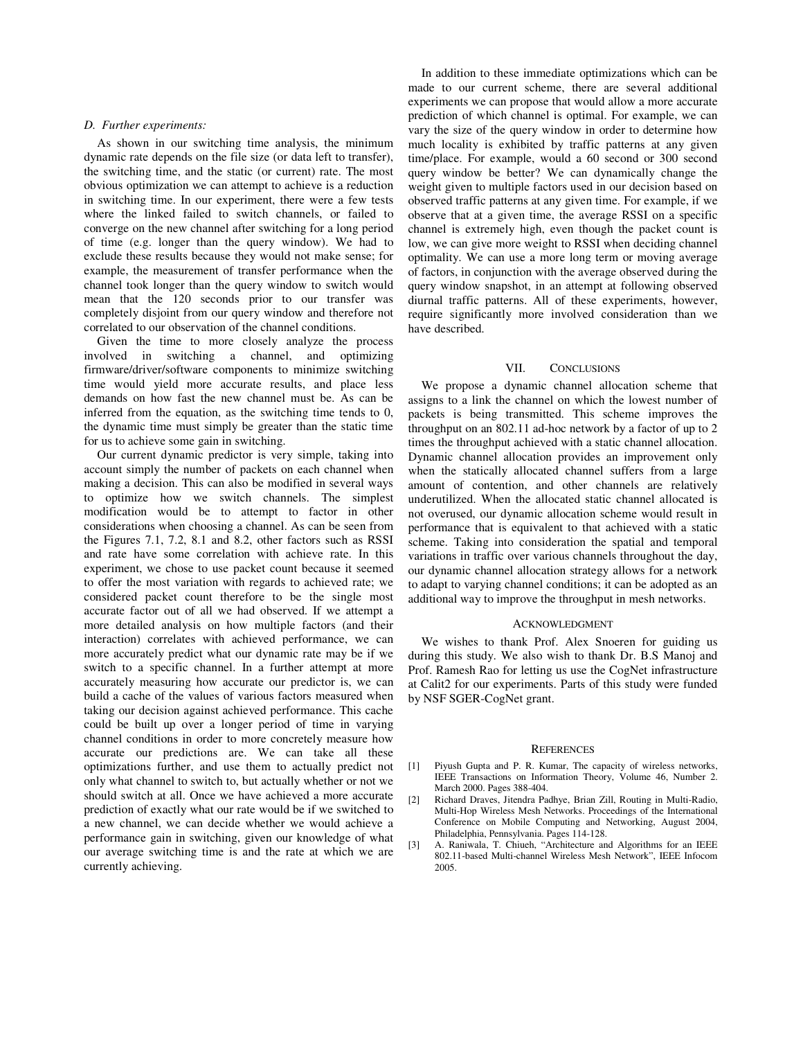#### *D. Further experiments:*

As shown in our switching time analysis, the minimum dynamic rate depends on the file size (or data left to transfer), the switching time, and the static (or current) rate. The most obvious optimization we can attempt to achieve is a reduction in switching time. In our experiment, there were a few tests where the linked failed to switch channels, or failed to converge on the new channel after switching for a long period of time (e.g. longer than the query window). We had to exclude these results because they would not make sense; for example, the measurement of transfer performance when the channel took longer than the query window to switch would mean that the 120 seconds prior to our transfer was completely disjoint from our query window and therefore not correlated to our observation of the channel conditions.

Given the time to more closely analyze the process involved in switching a channel, and optimizing firmware/driver/software components to minimize switching time would yield more accurate results, and place less demands on how fast the new channel must be. As can be inferred from the equation, as the switching time tends to 0, the dynamic time must simply be greater than the static time for us to achieve some gain in switching.

Our current dynamic predictor is very simple, taking into account simply the number of packets on each channel when making a decision. This can also be modified in several ways to optimize how we switch channels. The simplest modification would be to attempt to factor in other considerations when choosing a channel. As can be seen from the Figures 7.1, 7.2, 8.1 and 8.2, other factors such as RSSI and rate have some correlation with achieve rate. In this experiment, we chose to use packet count because it seemed to offer the most variation with regards to achieved rate; we considered packet count therefore to be the single most accurate factor out of all we had observed. If we attempt a more detailed analysis on how multiple factors (and their interaction) correlates with achieved performance, we can more accurately predict what our dynamic rate may be if we switch to a specific channel. In a further attempt at more accurately measuring how accurate our predictor is, we can build a cache of the values of various factors measured when taking our decision against achieved performance. This cache could be built up over a longer period of time in varying channel conditions in order to more concretely measure how accurate our predictions are. We can take all these optimizations further, and use them to actually predict not only what channel to switch to, but actually whether or not we should switch at all. Once we have achieved a more accurate prediction of exactly what our rate would be if we switched to a new channel, we can decide whether we would achieve a performance gain in switching, given our knowledge of what our average switching time is and the rate at which we are currently achieving.

In addition to these immediate optimizations which can be made to our current scheme, there are several additional experiments we can propose that would allow a more accurate prediction of which channel is optimal. For example, we can vary the size of the query window in order to determine how much locality is exhibited by traffic patterns at any given time/place. For example, would a 60 second or 300 second query window be better? We can dynamically change the weight given to multiple factors used in our decision based on observed traffic patterns at any given time. For example, if we observe that at a given time, the average RSSI on a specific channel is extremely high, even though the packet count is low, we can give more weight to RSSI when deciding channel optimality. We can use a more long term or moving average of factors, in conjunction with the average observed during the query window snapshot, in an attempt at following observed diurnal traffic patterns. All of these experiments, however, require significantly more involved consideration than we have described.

# VII. CONCLUSIONS

We propose a dynamic channel allocation scheme that assigns to a link the channel on which the lowest number of packets is being transmitted. This scheme improves the throughput on an 802.11 ad-hoc network by a factor of up to 2 times the throughput achieved with a static channel allocation. Dynamic channel allocation provides an improvement only when the statically allocated channel suffers from a large amount of contention, and other channels are relatively underutilized. When the allocated static channel allocated is not overused, our dynamic allocation scheme would result in performance that is equivalent to that achieved with a static scheme. Taking into consideration the spatial and temporal variations in traffic over various channels throughout the day, our dynamic channel allocation strategy allows for a network to adapt to varying channel conditions; it can be adopted as an additional way to improve the throughput in mesh networks.

#### ACKNOWLEDGMENT

We wishes to thank Prof. Alex Snoeren for guiding us during this study. We also wish to thank Dr. B.S Manoj and Prof. Ramesh Rao for letting us use the CogNet infrastructure at Calit2 for our experiments. Parts of this study were funded by NSF SGER-CogNet grant.

#### **REFERENCES**

- [1] Piyush Gupta and P. R. Kumar, The capacity of wireless networks, IEEE Transactions on Information Theory, Volume 46, Number 2. March 2000. Pages 388-404.
- [2] Richard Draves, Jitendra Padhye, Brian Zill, Routing in Multi-Radio, Multi-Hop Wireless Mesh Networks. Proceedings of the International Conference on Mobile Computing and Networking, August 2004, Philadelphia, Pennsylvania. Pages 114-128.
- [3] A. Raniwala, T. Chiueh, "Architecture and Algorithms for an IEEE 802.11-based Multi-channel Wireless Mesh Network", IEEE Infocom 2005.